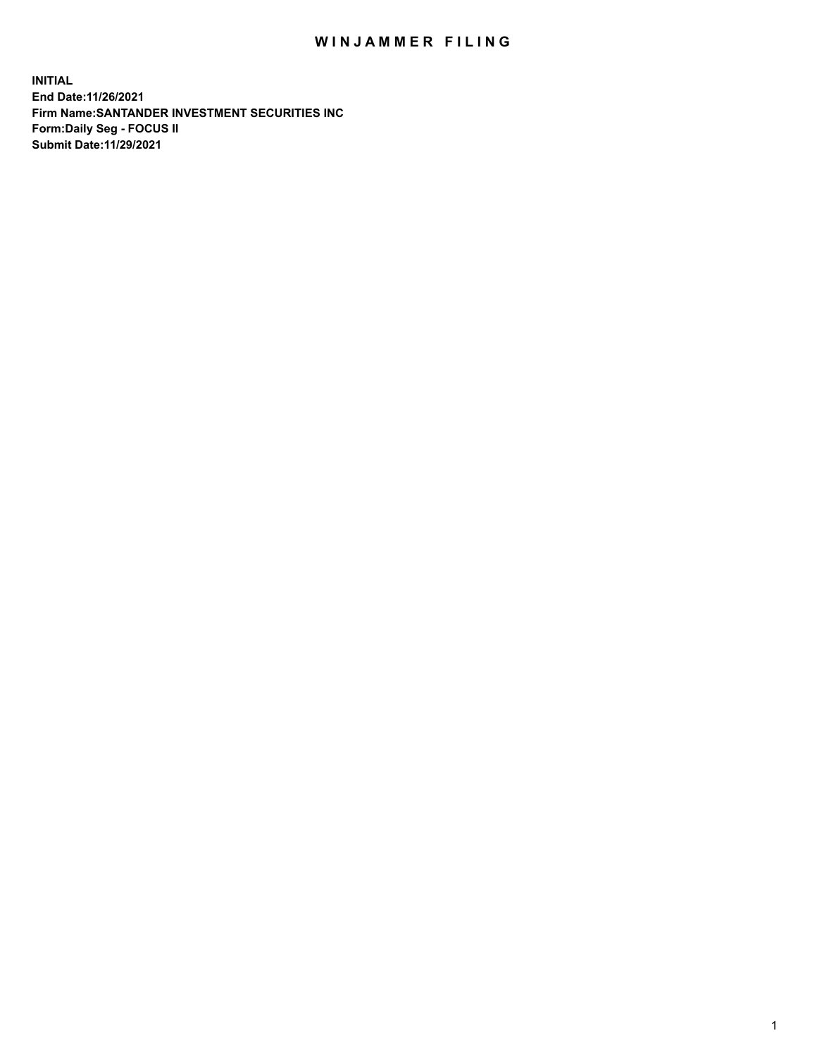## WIN JAMMER FILING

**INITIAL End Date:11/26/2021 Firm Name:SANTANDER INVESTMENT SECURITIES INC Form:Daily Seg - FOCUS II Submit Date:11/29/2021**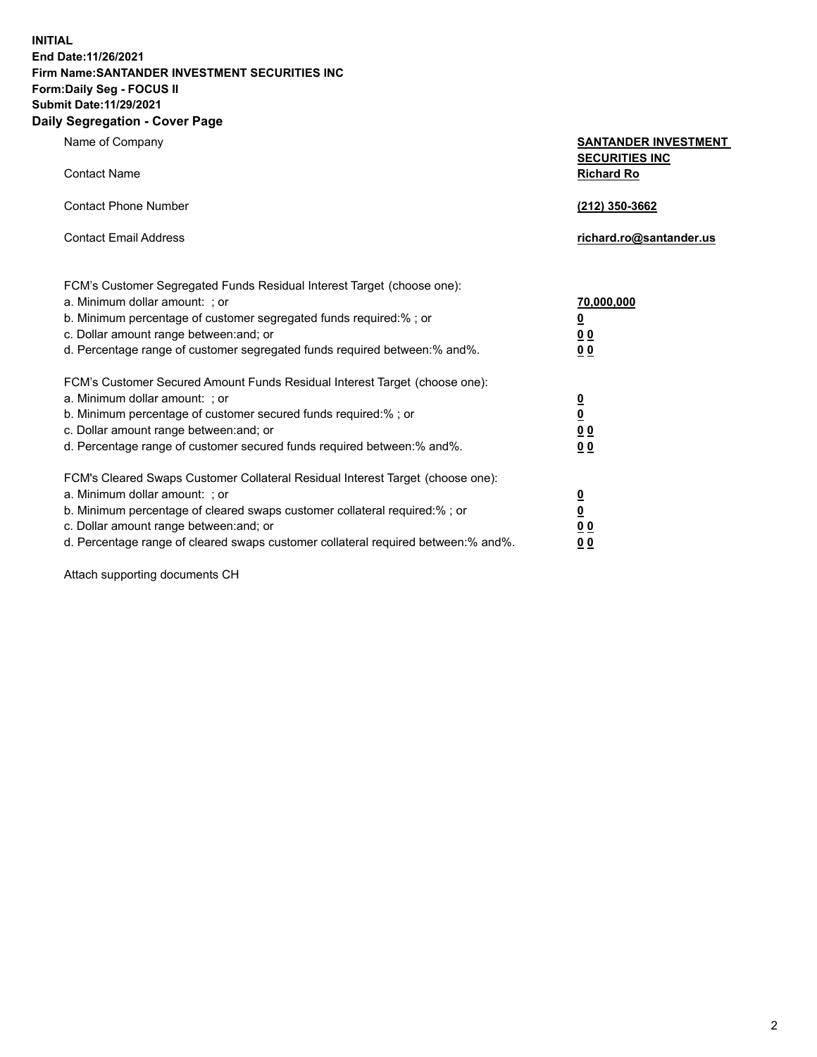**INITIAL End Date:11/26/2021 Firm Name:SANTANDER INVESTMENT SECURITIES INC Form:Daily Seg - FOCUS II Submit Date:11/29/2021 Daily Segregation - Cover Page**

| $-0.9$                                                                            |                                                      |
|-----------------------------------------------------------------------------------|------------------------------------------------------|
| Name of Company                                                                   | <b>SANTANDER INVESTMENT</b><br><b>SECURITIES INC</b> |
| <b>Contact Name</b>                                                               | <b>Richard Ro</b>                                    |
| <b>Contact Phone Number</b>                                                       | (212) 350-3662                                       |
| <b>Contact Email Address</b>                                                      | richard.ro@santander.us                              |
| FCM's Customer Segregated Funds Residual Interest Target (choose one):            |                                                      |
| a. Minimum dollar amount: ; or                                                    | <u>70,000,000</u>                                    |
| b. Minimum percentage of customer segregated funds required:% ; or                | <u>0</u>                                             |
| c. Dollar amount range between: and; or                                           | 00                                                   |
| d. Percentage range of customer segregated funds required between:% and%.         | 0 <sub>0</sub>                                       |
| FCM's Customer Secured Amount Funds Residual Interest Target (choose one):        |                                                      |
| a. Minimum dollar amount: ; or                                                    | $\frac{0}{0}$                                        |
| b. Minimum percentage of customer secured funds required:%; or                    |                                                      |
| c. Dollar amount range between: and; or                                           | 0 <sub>0</sub>                                       |
| d. Percentage range of customer secured funds required between:% and%.            | 0 <sub>0</sub>                                       |
| FCM's Cleared Swaps Customer Collateral Residual Interest Target (choose one):    |                                                      |
| a. Minimum dollar amount: ; or                                                    | $\frac{0}{0}$                                        |
| b. Minimum percentage of cleared swaps customer collateral required:% ; or        |                                                      |
| c. Dollar amount range between: and; or                                           | 00                                                   |
| d. Percentage range of cleared swaps customer collateral required between:% and%. | 00                                                   |

Attach supporting documents CH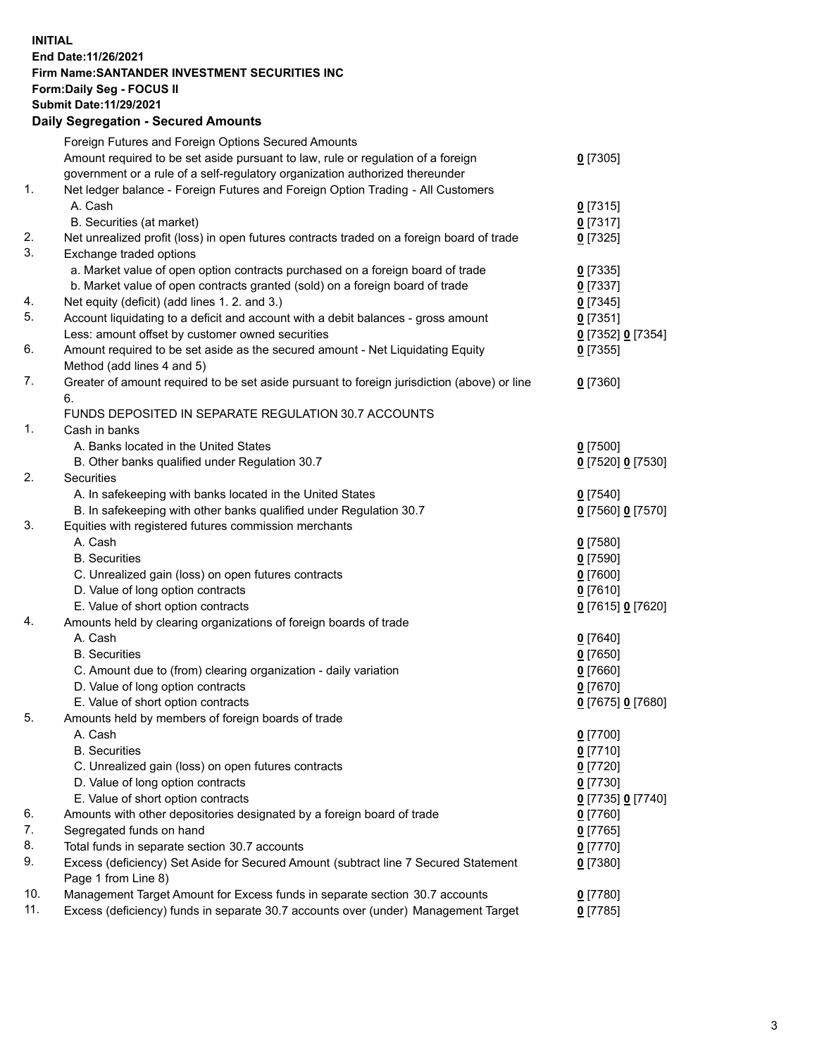## **INITIAL End Date:11/26/2021 Firm Name:SANTANDER INVESTMENT SECURITIES INC Form:Daily Seg - FOCUS II Submit Date:11/29/2021 Daily Segregation - Secured Amounts**

|     | Foreign Futures and Foreign Options Secured Amounts                                         |                   |
|-----|---------------------------------------------------------------------------------------------|-------------------|
|     | Amount required to be set aside pursuant to law, rule or regulation of a foreign            | $0$ [7305]        |
|     | government or a rule of a self-regulatory organization authorized thereunder                |                   |
| 1.  | Net ledger balance - Foreign Futures and Foreign Option Trading - All Customers             |                   |
|     | A. Cash                                                                                     | $0$ [7315]        |
|     | B. Securities (at market)                                                                   | $0$ [7317]        |
| 2.  | Net unrealized profit (loss) in open futures contracts traded on a foreign board of trade   | $0$ [7325]        |
| 3.  | Exchange traded options                                                                     |                   |
|     | a. Market value of open option contracts purchased on a foreign board of trade              | $0$ [7335]        |
|     | b. Market value of open contracts granted (sold) on a foreign board of trade                | $0$ [7337]        |
| 4.  | Net equity (deficit) (add lines 1. 2. and 3.)                                               | $0$ [7345]        |
| 5.  | Account liquidating to a deficit and account with a debit balances - gross amount           | $0$ [7351]        |
|     | Less: amount offset by customer owned securities                                            | 0 [7352] 0 [7354] |
| 6.  | Amount required to be set aside as the secured amount - Net Liquidating Equity              | $0$ [7355]        |
|     | Method (add lines 4 and 5)                                                                  |                   |
| 7.  | Greater of amount required to be set aside pursuant to foreign jurisdiction (above) or line | $0$ [7360]        |
|     | 6.                                                                                          |                   |
|     | FUNDS DEPOSITED IN SEPARATE REGULATION 30.7 ACCOUNTS                                        |                   |
| 1.  | Cash in banks                                                                               |                   |
|     | A. Banks located in the United States                                                       | $0$ [7500]        |
|     | B. Other banks qualified under Regulation 30.7                                              | 0 [7520] 0 [7530] |
| 2.  | Securities                                                                                  |                   |
|     | A. In safekeeping with banks located in the United States                                   | $0$ [7540]        |
|     | B. In safekeeping with other banks qualified under Regulation 30.7                          | 0 [7560] 0 [7570] |
| 3.  | Equities with registered futures commission merchants                                       |                   |
|     | A. Cash                                                                                     | $0$ [7580]        |
|     | <b>B.</b> Securities                                                                        | $0$ [7590]        |
|     | C. Unrealized gain (loss) on open futures contracts                                         | $0$ [7600]        |
|     | D. Value of long option contracts                                                           | $0$ [7610]        |
|     | E. Value of short option contracts                                                          | 0 [7615] 0 [7620] |
| 4.  | Amounts held by clearing organizations of foreign boards of trade                           |                   |
|     | A. Cash                                                                                     | $0$ [7640]        |
|     | <b>B.</b> Securities                                                                        | $0$ [7650]        |
|     | C. Amount due to (from) clearing organization - daily variation                             | $0$ [7660]        |
|     | D. Value of long option contracts                                                           | $0$ [7670]        |
|     | E. Value of short option contracts                                                          | 0 [7675] 0 [7680] |
| 5.  | Amounts held by members of foreign boards of trade                                          |                   |
|     | A. Cash                                                                                     | $0$ [7700]        |
|     | <b>B.</b> Securities                                                                        | $0$ [7710]        |
|     | C. Unrealized gain (loss) on open futures contracts                                         | $0$ [7720]        |
|     | D. Value of long option contracts                                                           | $0$ [7730]        |
|     | E. Value of short option contracts                                                          | 0 [7735] 0 [7740] |
| 6.  | Amounts with other depositories designated by a foreign board of trade                      | $0$ [7760]        |
| 7.  | Segregated funds on hand                                                                    | $0$ [7765]        |
| 8.  | Total funds in separate section 30.7 accounts                                               | 0 [7770]          |
| 9.  | Excess (deficiency) Set Aside for Secured Amount (subtract line 7 Secured Statement         | $0$ [7380]        |
|     | Page 1 from Line 8)                                                                         |                   |
| 10. | Management Target Amount for Excess funds in separate section 30.7 accounts                 | $0$ [7780]        |
| 11. | Excess (deficiency) funds in separate 30.7 accounts over (under) Management Target          | $0$ [7785]        |
|     |                                                                                             |                   |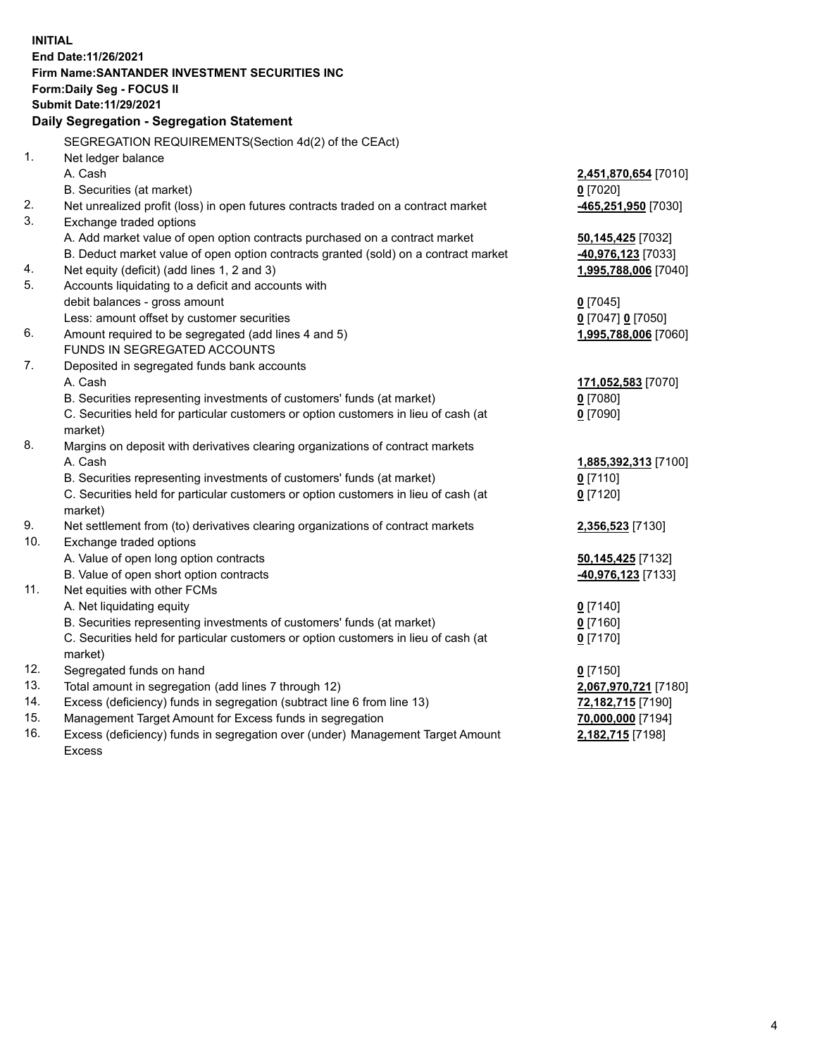| <b>INITIAL</b> |                                                                                     |                      |
|----------------|-------------------------------------------------------------------------------------|----------------------|
|                | End Date: 11/26/2021                                                                |                      |
|                | Firm Name: SANTANDER INVESTMENT SECURITIES INC                                      |                      |
|                | Form: Daily Seg - FOCUS II                                                          |                      |
|                | Submit Date: 11/29/2021                                                             |                      |
|                | Daily Segregation - Segregation Statement                                           |                      |
|                | SEGREGATION REQUIREMENTS(Section 4d(2) of the CEAct)                                |                      |
| 1.             | Net ledger balance                                                                  |                      |
|                | A. Cash                                                                             | 2,451,870,654 [7010] |
|                | B. Securities (at market)                                                           | $0$ [7020]           |
| 2.             | Net unrealized profit (loss) in open futures contracts traded on a contract market  | 465,251,950 [7030]   |
| 3.             | Exchange traded options                                                             |                      |
|                | A. Add market value of open option contracts purchased on a contract market         | 50,145,425 [7032]    |
|                | B. Deduct market value of open option contracts granted (sold) on a contract market | 40,976,123 [7033]    |
| 4.             | Net equity (deficit) (add lines 1, 2 and 3)                                         | 1,995,788,006 [7040] |
| 5.             | Accounts liquidating to a deficit and accounts with                                 |                      |
|                | debit balances - gross amount                                                       | $0$ [7045]           |
|                | Less: amount offset by customer securities                                          | 0 [7047] 0 [7050]    |
| 6.             | Amount required to be segregated (add lines 4 and 5)                                | 1,995,788,006 [7060] |
|                | FUNDS IN SEGREGATED ACCOUNTS                                                        |                      |
| 7.             | Deposited in segregated funds bank accounts                                         |                      |
|                | A. Cash                                                                             | 171,052,583 [7070]   |
|                | B. Securities representing investments of customers' funds (at market)              | $0$ [7080]           |
|                | C. Securities held for particular customers or option customers in lieu of cash (at | $0$ [7090]           |
|                | market)                                                                             |                      |
| 8.             | Margins on deposit with derivatives clearing organizations of contract markets      |                      |
|                | A. Cash                                                                             | 1,885,392,313 [7100] |
|                | B. Securities representing investments of customers' funds (at market)              | $0$ [7110]           |
|                | C. Securities held for particular customers or option customers in lieu of cash (at | $0$ [7120]           |
|                | market)                                                                             |                      |
| 9.             | Net settlement from (to) derivatives clearing organizations of contract markets     | 2,356,523 [7130]     |
| 10.            | Exchange traded options                                                             |                      |
|                | A. Value of open long option contracts                                              | 50,145,425 [7132]    |
|                | B. Value of open short option contracts                                             | -40,976,123 [7133]   |
| 11.            | Net equities with other FCMs                                                        |                      |
|                | A. Net liquidating equity                                                           | $0$ [7140]           |
|                | B. Securities representing investments of customers' funds (at market)              | $0$ [7160]           |
|                | C. Securities held for particular customers or option customers in lieu of cash (at | $0$ [7170]           |
|                | market)                                                                             |                      |
| 12.            | Segregated funds on hand                                                            | $0$ [7150]           |
| 13.            | Total amount in segregation (add lines 7 through 12)                                | 2,067,970,721 [7180] |
| 14.            | Excess (deficiency) funds in segregation (subtract line 6 from line 13)             | 72,182,715 [7190]    |
| 15.            | Management Target Amount for Excess funds in segregation                            | 70,000,000 [7194]    |
| 16.            | Excess (deficiency) funds in segregation over (under) Management Target Amount      | 2,182,715 [7198]     |
|                | <b>Excess</b>                                                                       |                      |